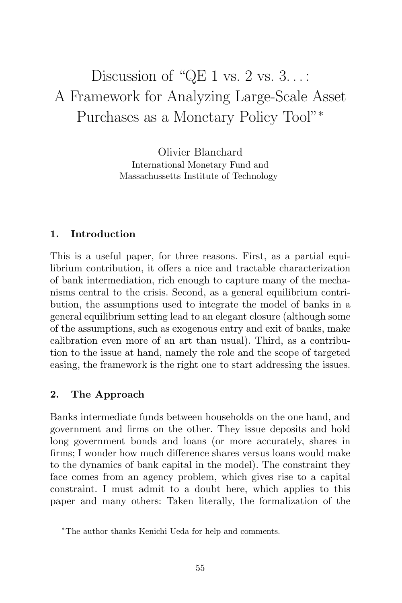# Discussion of "QE 1 vs.  $2 \text{ vs. } 3 \ldots$ : A Framework for Analyzing Large-Scale Asset Purchases as a Monetary Policy Tool"<sup>∗</sup>

Olivier Blanchard International Monetary Fund and Massachussetts Institute of Technology

## **1. Introduction**

This is a useful paper, for three reasons. First, as a partial equilibrium contribution, it offers a nice and tractable characterization of bank intermediation, rich enough to capture many of the mechanisms central to the crisis. Second, as a general equilibrium contribution, the assumptions used to integrate the model of banks in a general equilibrium setting lead to an elegant closure (although some of the assumptions, such as exogenous entry and exit of banks, make calibration even more of an art than usual). Third, as a contribution to the issue at hand, namely the role and the scope of targeted easing, the framework is the right one to start addressing the issues.

## **2. The Approach**

Banks intermediate funds between households on the one hand, and government and firms on the other. They issue deposits and hold long government bonds and loans (or more accurately, shares in firms; I wonder how much difference shares versus loans would make to the dynamics of bank capital in the model). The constraint they face comes from an agency problem, which gives rise to a capital constraint. I must admit to a doubt here, which applies to this paper and many others: Taken literally, the formalization of the

<sup>∗</sup>The author thanks Kenichi Ueda for help and comments.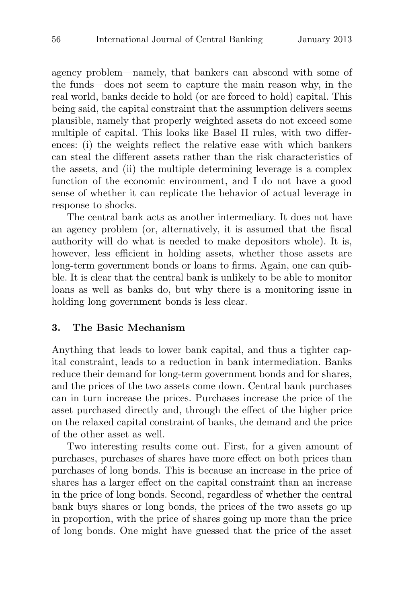agency problem—namely, that bankers can abscond with some of the funds—does not seem to capture the main reason why, in the real world, banks decide to hold (or are forced to hold) capital. This being said, the capital constraint that the assumption delivers seems plausible, namely that properly weighted assets do not exceed some multiple of capital. This looks like Basel II rules, with two differences: (i) the weights reflect the relative ease with which bankers can steal the different assets rather than the risk characteristics of the assets, and (ii) the multiple determining leverage is a complex function of the economic environment, and I do not have a good sense of whether it can replicate the behavior of actual leverage in response to shocks.

The central bank acts as another intermediary. It does not have an agency problem (or, alternatively, it is assumed that the fiscal authority will do what is needed to make depositors whole). It is, however, less efficient in holding assets, whether those assets are long-term government bonds or loans to firms. Again, one can quibble. It is clear that the central bank is unlikely to be able to monitor loans as well as banks do, but why there is a monitoring issue in holding long government bonds is less clear.

#### **3. The Basic Mechanism**

Anything that leads to lower bank capital, and thus a tighter capital constraint, leads to a reduction in bank intermediation. Banks reduce their demand for long-term government bonds and for shares, and the prices of the two assets come down. Central bank purchases can in turn increase the prices. Purchases increase the price of the asset purchased directly and, through the effect of the higher price on the relaxed capital constraint of banks, the demand and the price of the other asset as well.

Two interesting results come out. First, for a given amount of purchases, purchases of shares have more effect on both prices than purchases of long bonds. This is because an increase in the price of shares has a larger effect on the capital constraint than an increase in the price of long bonds. Second, regardless of whether the central bank buys shares or long bonds, the prices of the two assets go up in proportion, with the price of shares going up more than the price of long bonds. One might have guessed that the price of the asset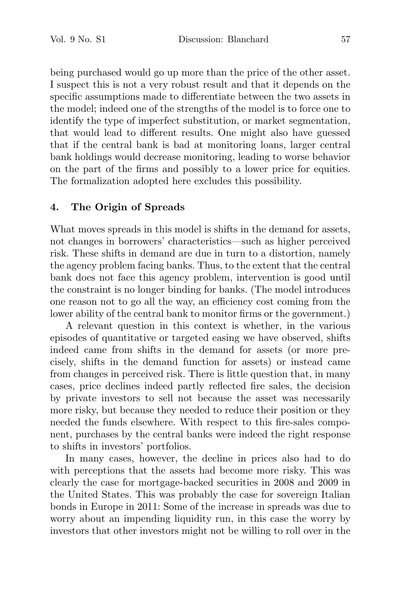being purchased would go up more than the price of the other asset. I suspect this is not a very robust result and that it depends on the specific assumptions made to differentiate between the two assets in the model; indeed one of the strengths of the model is to force one to identify the type of imperfect substitution, or market segmentation, that would lead to different results. One might also have guessed that if the central bank is bad at monitoring loans, larger central bank holdings would decrease monitoring, leading to worse behavior on the part of the firms and possibly to a lower price for equities. The formalization adopted here excludes this possibility.

### **4. The Origin of Spreads**

What moves spreads in this model is shifts in the demand for assets, not changes in borrowers' characteristics—such as higher perceived risk. These shifts in demand are due in turn to a distortion, namely the agency problem facing banks. Thus, to the extent that the central bank does not face this agency problem, intervention is good until the constraint is no longer binding for banks. (The model introduces one reason not to go all the way, an efficiency cost coming from the lower ability of the central bank to monitor firms or the government.)

A relevant question in this context is whether, in the various episodes of quantitative or targeted easing we have observed, shifts indeed came from shifts in the demand for assets (or more precisely, shifts in the demand function for assets) or instead came from changes in perceived risk. There is little question that, in many cases, price declines indeed partly reflected fire sales, the decision by private investors to sell not because the asset was necessarily more risky, but because they needed to reduce their position or they needed the funds elsewhere. With respect to this fire-sales component, purchases by the central banks were indeed the right response to shifts in investors' portfolios.

In many cases, however, the decline in prices also had to do with perceptions that the assets had become more risky. This was clearly the case for mortgage-backed securities in 2008 and 2009 in the United States. This was probably the case for sovereign Italian bonds in Europe in 2011: Some of the increase in spreads was due to worry about an impending liquidity run, in this case the worry by investors that other investors might not be willing to roll over in the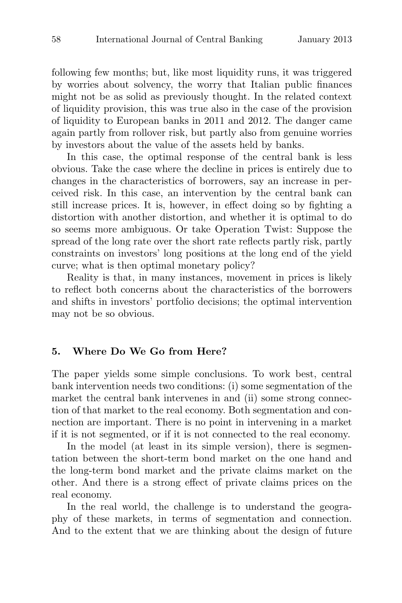following few months; but, like most liquidity runs, it was triggered by worries about solvency, the worry that Italian public finances might not be as solid as previously thought. In the related context of liquidity provision, this was true also in the case of the provision of liquidity to European banks in 2011 and 2012. The danger came again partly from rollover risk, but partly also from genuine worries by investors about the value of the assets held by banks.

In this case, the optimal response of the central bank is less obvious. Take the case where the decline in prices is entirely due to changes in the characteristics of borrowers, say an increase in perceived risk. In this case, an intervention by the central bank can still increase prices. It is, however, in effect doing so by fighting a distortion with another distortion, and whether it is optimal to do so seems more ambiguous. Or take Operation Twist: Suppose the spread of the long rate over the short rate reflects partly risk, partly constraints on investors' long positions at the long end of the yield curve; what is then optimal monetary policy?

Reality is that, in many instances, movement in prices is likely to reflect both concerns about the characteristics of the borrowers and shifts in investors' portfolio decisions; the optimal intervention may not be so obvious.

#### **5. Where Do We Go from Here?**

The paper yields some simple conclusions. To work best, central bank intervention needs two conditions: (i) some segmentation of the market the central bank intervenes in and (ii) some strong connection of that market to the real economy. Both segmentation and connection are important. There is no point in intervening in a market if it is not segmented, or if it is not connected to the real economy.

In the model (at least in its simple version), there is segmentation between the short-term bond market on the one hand and the long-term bond market and the private claims market on the other. And there is a strong effect of private claims prices on the real economy.

In the real world, the challenge is to understand the geography of these markets, in terms of segmentation and connection. And to the extent that we are thinking about the design of future